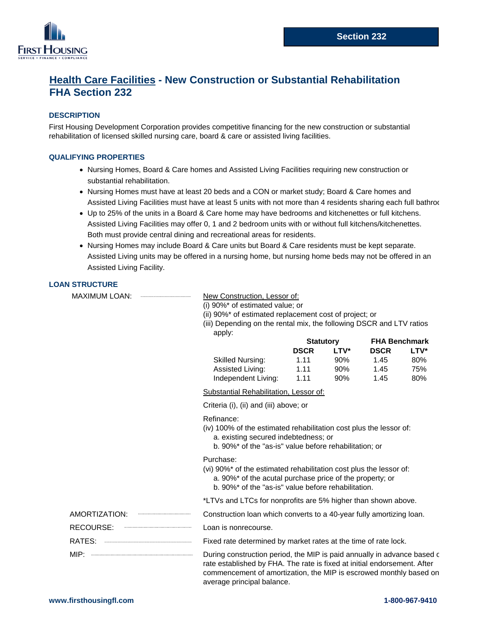

# **Health Care Facilities - New Construction or Substantial Rehabilitation FHA Section 232**

# **DESCRIPTION**

First Housing Development Corporation provides competitive financing for the new construction or substantial rehabilitation of licensed skilled nursing care, board & care or assisted living facilities.

# **QUALIFYING PROPERTIES**

- **∙** Nursing Homes, Board & Care homes and Assisted Living Facilities requiring new construction or substantial rehabilitation.
- **∙** Nursing Homes must have at least 20 beds and a CON or market study; Board & Care homes and Assisted Living Facilities must have at least 5 units with not more than 4 residents sharing each full bathroo
- **∙** Up to 25% of the units in a Board & Care home may have bedrooms and kitchenettes or full kitchens. Assisted Living Facilities may offer 0, 1 and 2 bedroom units with or without full kitchens/kitchenettes. Both must provide central dining and recreational areas for residents.
- **∙** Nursing Homes may include Board & Care units but Board & Care residents must be kept separate. Assisted Living units may be offered in a nursing home, but nursing home beds may not be offered in an Assisted Living Facility.

# **LOAN STRUCTURE**

MAXIMUM LOAN: New Construction, Lessor of:

(i) 90%\* of estimated value; or

(ii) 90%\* of estimated replacement cost of project; or

(iii) Depending on the rental mix, the following DSCR and LTV ratios apply:

|                         | <b>Statutory</b> |      | <b>FHA Benchmark</b> |             |
|-------------------------|------------------|------|----------------------|-------------|
|                         | <b>DSCR</b>      | LTV* | <b>DSCR</b>          | <b>LTV*</b> |
| <b>Skilled Nursing:</b> | 1 1 1            | 90%  | 1.45                 | 80%         |
| Assisted Living:        | 1.11             | 90%  | 1.45                 | 75%         |
| Independent Living:     | 1.11             | 90%  | 1.45                 | 80%         |

Substantial Rehabilitation, Lessor of:

Criteria (i), (ii) and (iii) above; or

#### Refinance:

- (iv) 100% of the estimated rehabilitation cost plus the lessor of: a. existing secured indebtedness; or
	- b. 90%\* of the "as-is" value before rehabilitation; or

#### Purchase:

(vi) 90%\* of the estimated rehabilitation cost plus the lessor of:

- a. 90%\* of the acutal purchase price of the property; or
- b. 90%\* of the "as-is" value before rehabilitation.

\*LTVs and LTCs for nonprofits are 5% higher than shown above.

AMORTIZATION: Construction loan which converts to a 40-year fully amortizing loan.

- RECOURSE: Loan is nonrecourse.
- RATES: Fixed rate determined by market rates at the time of rate lock.

MIP:  $\frac{M}{P}$ :  $\frac{M}{P}$  is paid annually in advance based of rate established by FHA. The rate is fixed at initial endorsement. After commencement of amortization, the MIP is escrowed monthly based on average principal balance.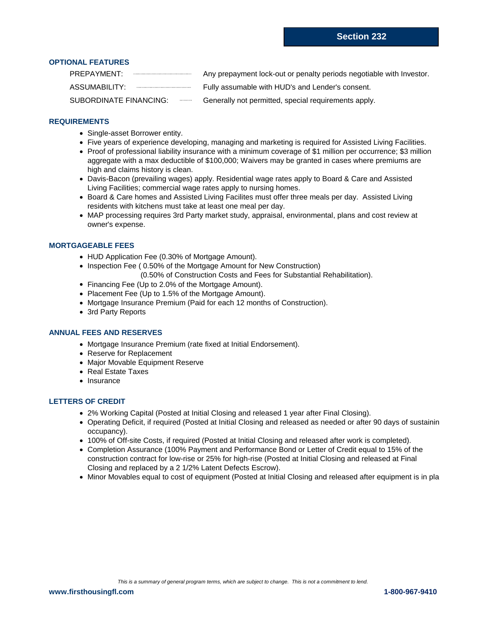# **OPTIONAL FEATURES**

| PREPAYMENT:            | Any prepayment lock-out or penalty periods negotiable with Investor. |
|------------------------|----------------------------------------------------------------------|
| ASSUMABILITY:          | Fully assumable with HUD's and Lender's consent.                     |
| SUBORDINATE FINANCING: | Generally not permitted, special requirements apply.                 |

#### **REQUIREMENTS**

- **∙** Single-asset Borrower entity.
- **∙** Five years of experience developing, managing and marketing is required for Assisted Living Facilities.
- **∙** Proof of professional liability insurance with a minimum coverage of \$1 million per occurrence; \$3 million aggregate with a max deductible of \$100,000; Waivers may be granted in cases where premiums are high and claims history is clean.
- **∙** Davis-Bacon (prevailing wages) apply. Residential wage rates apply to Board & Care and Assisted Living Facilities; commercial wage rates apply to nursing homes.
- **∙** Board & Care homes and Assisted Living Facilites must offer three meals per day. Assisted Living residents with kitchens must take at least one meal per day.
- **∙** MAP processing requires 3rd Party market study, appraisal, environmental, plans and cost review at owner's expense.

### **MORTGAGEABLE FEES**

- **∙** HUD Application Fee (0.30% of Mortgage Amount).
- **∙** Inspection Fee ( 0.50% of the Mortgage Amount for New Construction)
	- (0.50% of Construction Costs and Fees for Substantial Rehabilitation).
- **∙** Financing Fee (Up to 2.0% of the Mortgage Amount).
- **∙** Placement Fee (Up to 1.5% of the Mortgage Amount).
- **∙** Mortgage Insurance Premium (Paid for each 12 months of Construction).
- **∙** 3rd Party Reports

#### **ANNUAL FEES AND RESERVES**

- **∙** Mortgage Insurance Premium (rate fixed at Initial Endorsement).
- **∙** Reserve for Replacement
- **∙** Major Movable Equipment Reserve
- **∙** Real Estate Taxes
- **∙** Insurance

#### **LETTERS OF CREDIT**

- **∙** 2% Working Capital (Posted at Initial Closing and released 1 year after Final Closing).
- **∙** Operating Deficit, if required (Posted at Initial Closing and released as needed or after 90 days of sustainin occupancy).
- **∙** 100% of Off-site Costs, if required (Posted at Initial Closing and released after work is completed).
- **∙** Completion Assurance (100% Payment and Performance Bond or Letter of Credit equal to 15% of the construction contract for low-rise or 25% for high-rise (Posted at Initial Closing and released at Final Closing and replaced by a 2 1/2% Latent Defects Escrow).
- **∙** Minor Movables equal to cost of equipment (Posted at Initial Closing and released after equipment is in pla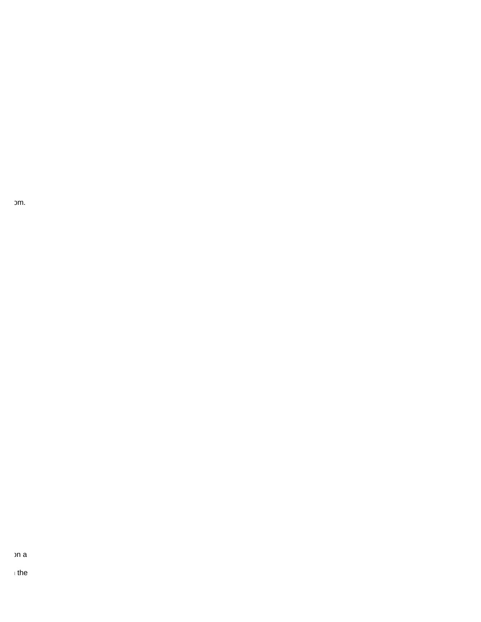om.